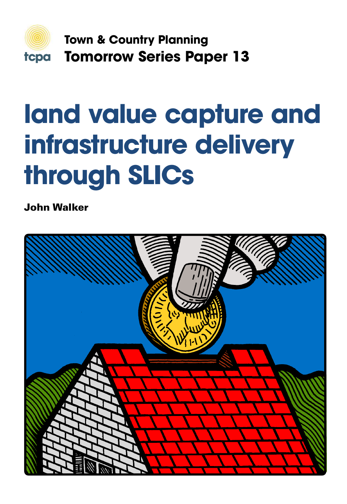

**Town & Country Planning Tomorrow Series Paper 13**

# **land value capture and infrastructure delivery through SLICs**

John Walker

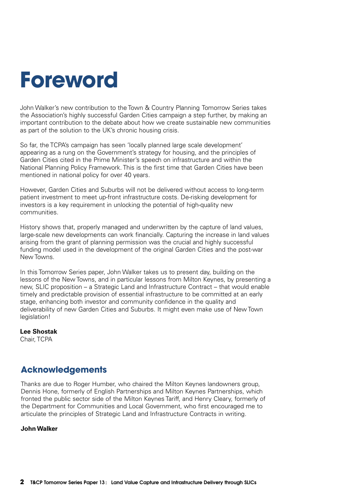## **Foreword**

John Walker's new contribution to the Town & Country Planning Tomorrow Series takes the Association's highly successful Garden Cities campaign a step further, by making an important contribution to the debate about how we create sustainable new communities as part of the solution to the UK's chronic housing crisis.

So far, the TCPA's campaign has seen 'locally planned large scale development' appearing as a rung on the Government's strategy for housing, and the principles of Garden Cities cited in the Prime Minister's speech on infrastructure and within the National Planning Policy Framework. This is the first time that Garden Cities have been mentioned in national policy for over 40 years.

However, Garden Cities and Suburbs will not be delivered without access to long-term patient investment to meet up-front infrastructure costs. De-risking development for investors is a key requirement in unlocking the potential of high-quality new communities.

History shows that, properly managed and underwritten by the capture of land values, large-scale new developments can work financially. Capturing the increase in land values arising from the grant of planning permission was the crucial and highly successful funding model used in the development of the original Garden Cities and the post-war New Towns.

In this Tomorrow Series paper, John Walker takes us to present day, building on the lessons of the New Towns, and in particular lessons from Milton Keynes, by presenting a new, SLIC proposition – a Strategic Land and Infrastructure Contract – that would enable timely and predictable provision of essential infrastructure to be committed at an early stage, enhancing both investor and community confidence in the quality and deliverability of new Garden Cities and Suburbs. It might even make use of New Town legislation!

#### **Lee Shostak**

Chair, TCPA

#### **Acknowledgements**

Thanks are due to Roger Humber, who chaired the Milton Keynes landowners group, Dennis Hone, formerly of English Partnerships and Milton Keynes Partnerships, which fronted the public sector side of the Milton Keynes Tariff, and Henry Cleary, formerly of the Department for Communities and Local Government, who first encouraged me to articulate the principles of Strategic Land and Infrastructure Contracts in writing.

#### **John Walker**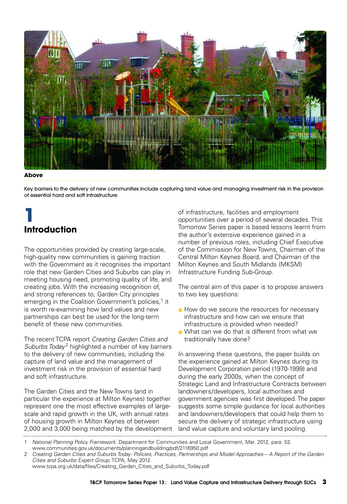

#### **Above**

Key barriers to the delivery of new communities include capturing land value and managing investment risk in the provision of essential hard and soft infrastructure

## **1 Introduction**

The opportunities provided by creating large-scale, high-quality new communities is gaining traction with the Government as it recognises the important role that new Garden Cities and Suburbs can play in meeting housing need, promoting quality of life, and creating jobs. With the increasing recognition of, and strong references to, Garden City principles emerging in the Coalition Government's policies,<sup>1</sup> it is worth re-examining how land values and new partnerships can best be used for the long-term benefit of these new communities.

The recent TCPA report *Creating Garden Cities and Suburbs Today* <sup>2</sup> highlighted a number of key barriers to the delivery of new communities, including the capture of land value and the management of investment risk in the provision of essential hard and soft infrastructure.

The Garden Cities and the New Towns (and in particular the experience at Milton Keynes) together represent one the most effective examples of largescale and rapid growth in the UK, with annual rates of housing growth in Milton Keynes of between 2,000 and 3,000 being matched by the development land value capture and voluntary land pooling

of infrastructure, facilities and employment opportunities over a period of several decades. This Tomorrow Series paper is based lessons learnt from the author's extensive experience gained in a number of previous roles, including Chief Executive of the Commission for New Towns, Chairman of the Central Milton Keynes Board, and Chairman of the Milton Keynes and South Midlands (MKSM) Infrastructure Funding Sub-Group.

The central aim of this paper is to propose answers to two key questions:

- How do we secure the resources for necessary infrastructure and how can we ensure that infrastructure is provided when needed?
- What can we do that is different from what we traditionally have done?

In answering these questions, the paper builds on the experience gained at Milton Keynes during its Development Corporation period (1970-1999) and during the early 2000s, when the concept of Strategic Land and Infrastructure Contracts between landowners/developers, local authorities and government agencies was first developed. The paper suggests some simple guidance for local authorities and landowners/developers that could help them to secure the delivery of strategic infrastructure using land value capture and voluntary land pooling.

```
www.tcpa.org.uk/data/files/Creating_Garden_Cities_and_Suburbs_Today.pdf
```
<sup>1</sup> *National Planning Policy Framework*. Department for Communities and Local Government, Mar. 2012, para. 52.

www.communities.gov.uk/documents/planningandbuilding/pdf/2116950.pdf 2 Creating Garden Cities and Suburbs Today: Policies, Practices, Partnerships and Model Approaches – A Report of the Garden *Cities and Suburbs Expert Group*. TCPA, May 2012.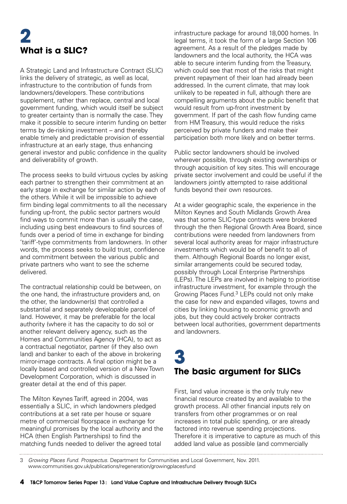## **2 What is a SLIC?**

A Strategic Land and Infrastructure Contract (SLIC) links the delivery of strategic, as well as local infrastructure to the contribution of funds from landowners/developers. These contributions supplement, rather than replace, central and local government funding, which would itself be subject to greater certainty than is normally the case. They make it possible to secure interim funding on better terms by de-risking investment – and thereby enable timely and predictable provision of essential infrastructure at an early stage, thus enhancing general investor and public confidence in the quality and deliverability of growth.

The process seeks to build virtuous cycles by asking each partner to strengthen their commitment at an early stage in exchange for similar action by each of the others. While it will be impossible to achieve firm binding legal commitments to all the necessary funding up-front, the public sector partners would find ways to commit more than is usually the case, including using best endeavours to find sources of funds over a period of time in exchange for binding 'tariff'-type commitments from landowners. In other words, the process seeks to build trust, confidence and commitment between the various public and private partners who want to see the scheme delivered.

The contractual relationship could be between, on the one hand, the infrastructure providers and, on the other, the landowner(s) that controlled a substantial and separately developable parcel of land. However, it may be preferable for the local authority (where it has the capacity to do so) or another relevant delivery agency, such as the Homes and Communities Agency (HCA), to act as a contractual negotiator, partner (if they also own land) and banker to each of the above in brokering mirror-image contracts. A final option might be a locally based and controlled version of a New Town Development Corporation, which is discussed in greater detail at the end of this paper.

The Milton Keynes Tariff, agreed in 2004, was essentially a SLIC, in which landowners pledged contributions at a set rate per house or square metre of commercial floorspace in exchange for meaningful promises by the local authority and the HCA (then English Partnerships) to find the matching funds needed to deliver the agreed total

infrastructure package for around 18,000 homes. In legal terms, it took the form of a large Section 106 agreement. As a result of the pledges made by landowners and the local authority, the HCA was able to secure interim funding from the Treasury, which could see that most of the risks that might prevent repayment of their loan had already been addressed. In the current climate, that may look unlikely to be repeated in full, although there are compelling arguments about the public benefit that would result from up-front investment by government. If part of the cash flow funding came from HM Treasury, this would reduce the risks perceived by private funders and make their participation both more likely and on better terms.

Public sector landowners should be involved wherever possible, through existing ownerships or through acquisition of key sites. This will encourage private sector involvement and could be useful if the landowners jointly attempted to raise additional funds beyond their own resources.

At a wider geographic scale, the experience in the Milton Keynes and South Midlands Growth Area was that some SLIC-type contracts were brokered through the then Regional Growth Area Board, since contributions were needed from landowners from several local authority areas for major infrastructure investments which would be of benefit to all of them. Although Regional Boards no longer exist, similar arrangements could be secured today, possibly through Local Enterprise Partnerships (LEPs). The LEPs are involved in helping to prioritise infrastructure investment, for example through the Growing Places Fund.<sup>3</sup> LEPs could not only make the case for new and expanded villages, towns and cities by linking housing to economic growth and jobs, but they could actively broker contracts between local authorities, government departments and landowners.

### **3 The basic argument for SLICs**

First, land value increase is the only truly new financial resource created by and available to the growth process. All other financial inputs rely on transfers from other programmes or on real increases in total public spending, or are already factored into revenue spending projections. Therefore it is imperative to capture as much of this added land value as possible (and commercially

<sup>3</sup> *Growing Places Fund. Prospectus*. Department for Communities and Local Government, Nov. 2011.

www.communities.gov.uk/publications/regeneration/growingplacesfund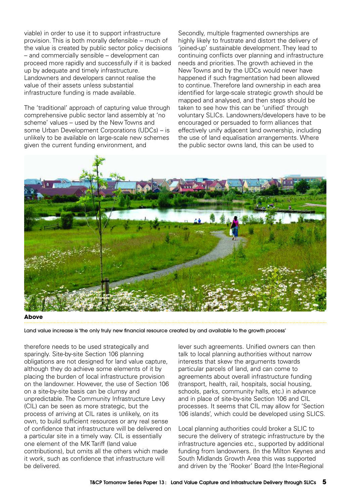viable) in order to use it to support infrastructure provision. This is both morally defensible – much of the value is created by public sector policy decisions – and commercially sensible – development can proceed more rapidly and successfully if it is backed up by adequate and timely infrastructure. Landowners and developers cannot realise the value of their assets unless substantial infrastructure funding is made available.

The 'traditional' approach of capturing value through comprehensive public sector land assembly at 'no scheme' values – used by the New Towns and some Urban Development Corporations (UDCs) – is unlikely to be available on large-scale new schemes given the current funding environment, and

Secondly, multiple fragmented ownerships are highly likely to frustrate and distort the delivery of 'joined-up' sustainable development. They lead to continuing conflicts over planning and infrastructure needs and priorities. The growth achieved in the New Towns and by the UDCs would never have happened if such fragmentation had been allowed to continue. Therefore land ownership in each area identified for large-scale strategic growth should be mapped and analysed, and then steps should be taken to see how this can be 'unified' through voluntary SLICs. Landowners/developers have to be encouraged or persuaded to form alliances that effectively unify adjacent land ownership, including the use of land equalisation arrangements. Where the public sector owns land, this can be used to



**Above**

Land value increase is 'the only truly new financial resource created by and available to the growth process'

therefore needs to be used strategically and sparingly. Site-by-site Section 106 planning obligations are not designed for land value capture, although they do achieve some elements of it by placing the burden of local infrastructure provision on the landowner. However, the use of Section 106 on a site-by-site basis can be clumsy and unpredictable. The Community Infrastructure Levy (CIL) can be seen as more strategic, but the process of arriving at CIL rates is unlikely, on its own, to build sufficient resources or any real sense of confidence that infrastructure will be delivered on a particular site in a timely way. CIL is essentially one element of the MK Tariff (land value contributions), but omits all the others which made it work, such as confidence that infrastructure will be delivered.

lever such agreements. Unified owners can then talk to local planning authorities without narrow interests that skew the arguments towards particular parcels of land, and can come to agreements about overall infrastructure funding (transport, health, rail, hospitals, social housing, schools, parks, community halls, etc.) in advance and in place of site-by-site Section 106 and CIL processes. It seems that CIL may allow for 'Section 106 islands', which could be developed using SLICS.

Local planning authorities could broker a SLIC to secure the delivery of strategic infrastructure by the infrastructure agencies etc., supported by additional funding from landowners. (In the Milton Keynes and South Midlands Growth Area this was supported and driven by the 'Rooker' Board (the Inter-Regional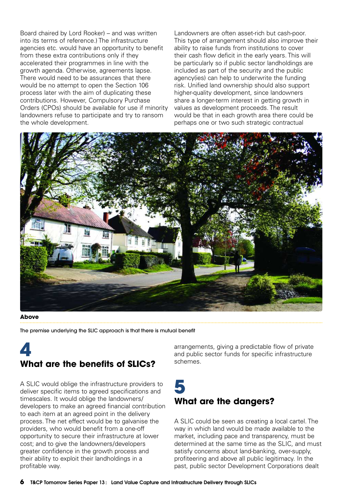Board chaired by Lord Rooker) – and was written into its terms of reference.) The infrastructure agencies etc. would have an opportunity to benefit from these extra contributions only if they accelerated their programmes in line with the growth agenda. Otherwise, agreements lapse. There would need to be assurances that there would be no attempt to open the Section 106 process later with the aim of duplicating these contributions. However, Compulsory Purchase Orders (CPOs) should be available for use if minority landowners refuse to participate and try to ransom the whole development.

Landowners are often asset-rich but cash-poor. This type of arrangement should also improve their ability to raise funds from institutions to cover their cash flow deficit in the early years. This will be particularly so if public sector landholdings are included as part of the security and the public agency(ies) can help to underwrite the funding risk. Unified land ownership should also support higher-quality development, since landowners share a longer-term interest in getting growth in values as development proceeds. The result would be that in each growth area there could be perhaps one or two such strategic contractual



#### **Above**

The premise underlying the SLIC approach is that there is mutual benefit

#### **4 What are the benefits of SLICs?**

A SLIC would oblige the infrastructure providers to deliver specific items to agreed specifications and timescales. It would oblige the landowners/ developers to make an agreed financial contribution to each item at an agreed point in the delivery process. The net effect would be to galvanise the providers, who would benefit from a one-off opportunity to secure their infrastructure at lower cost; and to give the landowners/developers greater confidence in the growth process and their ability to exploit their landholdings in a profitable way.

arrangements, giving a predictable flow of private and public sector funds for specific infrastructure schemes.

## **5 What are the dangers?**

A SLIC could be seen as creating a local cartel. The way in which land would be made available to the market, including pace and transparency, must be determined at the same time as the SLIC, and must satisfy concerns about land-banking, over-supply, profiteering and above all public legitimacy. In the past, public sector Development Corporations dealt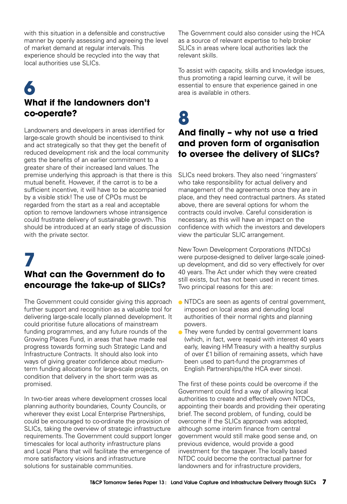with this situation in a defensible and constructive manner by openly assessing and agreeing the level of market demand at regular intervals. This experience should be recycled into the way that local authorities use SLICs.

## **6 What if the landowners don't co-operate?**

Landowners and developers in areas identified for large-scale growth should be incentivised to think and act strategically so that they get the benefit of reduced development risk and the local community gets the benefits of an earlier commitment to a greater share of their increased land values. The premise underlying this approach is that there is this mutual benefit. However, if the carrot is to be a sufficient incentive, it will have to be accompanied by a visible stick! The use of CPOs must be regarded from the start as a real and acceptable option to remove landowners whose intransigence could frustrate delivery of sustainable growth. This should be introduced at an early stage of discussion with the private sector.

#### **7 What can the Government do to encourage the take-up of SLICs?**

The Government could consider giving this approach further support and recognition as a valuable tool for delivering large-scale locally planned development. It could prioritise future allocations of mainstream funding programmes, and any future rounds of the Growing Places Fund, in areas that have made real progress towards forming such Strategic Land and Infrastructure Contracts. It should also look into ways of giving greater confidence about mediumterm funding allocations for large-scale projects, on condition that delivery in the short term was as promised.

In two-tier areas where development crosses local planning authority boundaries, County Councils, or wherever they exist Local Enterprise Partnerships, could be encouraged to co-ordinate the provision of SLICs, taking the overview of strategic infrastructure requirements. The Government could support longer timescales for local authority infrastructure plans and Local Plans that will facilitate the emergence of more satisfactory visions and infrastructure solutions for sustainable communities.

The Government could also consider using the HCA as a source of relevant expertise to help broker SLICs in areas where local authorities lack the relevant skills.

To assist with capacity, skills and knowledge issues, thus promoting a rapid learning curve, it will be essential to ensure that experience gained in one area is available in others.

**8**

#### **And finally – why not use a tried and proven form of organisation to oversee the delivery of SLICs?**

SLICs need brokers. They also need 'ringmasters' who take responsibility for actual delivery and management of the agreements once they are in place, and they need contractual partners. As stated above, there are several options for whom the contracts could involve. Careful consideration is necessary, as this will have an impact on the confidence with which the investors and developers view the particular SLIC arrangement.

New Town Development Corporations (NTDCs) were purpose-designed to deliver large-scale joinedup development, and did so very effectively for over 40 years. The Act under which they were created still exists, but has not been used in recent times. Two principal reasons for this are:

- NTDCs are seen as agents of central government, imposed on local areas and denuding local authorities of their normal rights and planning powers.
- They were funded by central government loans (which, in fact, were repaid with interest 40 years early, leaving HM Treasury with a healthy surplus of over £1 billion of remaining assets, which have been used to part-fund the programmes of English Partnerships/the HCA ever since).

The first of these points could be overcome if the Government could find a way of allowing local authorities to create and effectively own NTDCs, appointing their boards and providing their operating brief. The second problem, of funding, could be overcome if the SLICs approach was adopted, although some interim finance from central government would still make good sense and, on previous evidence, would provide a good investment for the taxpayer. The locally based NTDC could become the contractual partner for landowners and for infrastructure providers,